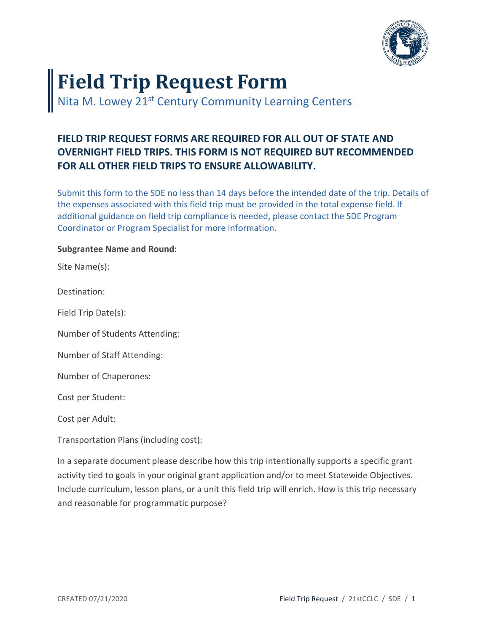

## **Field Trip Request Form**

Nita M. Lowey 21<sup>st</sup> Century Community Learning Centers

## **FIELD TRIP REQUEST FORMS ARE REQUIRED FOR ALL OUT OF STATE AND OVERNIGHT FIELD TRIPS. THIS FORM IS NOT REQUIRED BUT RECOMMENDED FOR ALL OTHER FIELD TRIPS TO ENSURE ALLOWABILITY.**

Submit this form to the SDE no less than 14 days before the intended date of the trip. Details of the expenses associated with this field trip must be provided in the total expense field. If additional guidance on field trip compliance is needed, please contact the SDE Program Coordinator or Program Specialist for more information.

## **Subgrantee Name and Round:**

Site Name(s):

Destination:

Field Trip Date(s):

Number of Students Attending:

Number of Staff Attending:

Number of Chaperones:

Cost per Student:

Cost per Adult:

Transportation Plans (including cost):

In a separate document please describe how this trip intentionally supports a specific grant activity tied to goals in your original grant application and/or to meet Statewide Objectives. Include curriculum, lesson plans, or a unit this field trip will enrich. How is this trip necessary and reasonable for programmatic purpose?